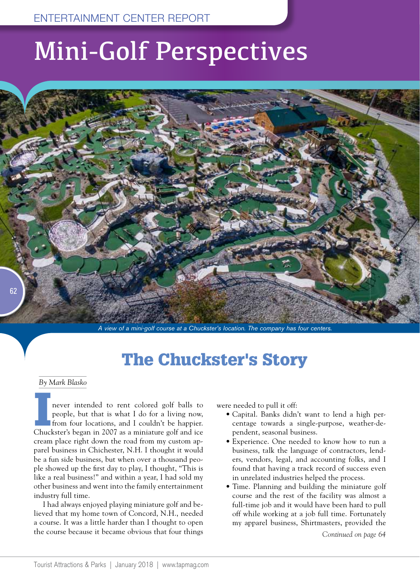## Mini-Golf Perspectives



*A view of a mini-golf course at a Chuckster's location. The company has four centers.* 

## The Chuckster's Story

#### *By Mark Blasko*

never intended to rent colored golf balls to<br>people, but that is what I do for a living now,<br>from four locations, and I couldn't be happier.<br>Chuckster's began in 2007 as a miniature golf and ice people, but that is what I do for a living now, from four locations, and I couldn't be happier. Chuckster's began in 2007 as a miniature golf and ice cream place right down the road from my custom apparel business in Chichester, N.H. I thought it would be a fun side business, but when over a thousand people showed up the first day to play, I thought, "This is like a real business!" and within a year, I had sold my other business and went into the family entertainment industry full time.

I had always enjoyed playing miniature golf and believed that my home town of Concord, N.H., needed a course. It was a little harder than I thought to open the course because it became obvious that four things were needed to pull it off:

- Capital. Banks didn't want to lend a high percentage towards a single-purpose, weather-dependent, seasonal business.
- Experience. One needed to know how to run a business, talk the language of contractors, lenders, vendors, legal, and accounting folks, and I found that having a track record of success even in unrelated industries helped the process.
- Time. Planning and building the miniature golf course and the rest of the facility was almost a full-time job and it would have been hard to pull off while working at a job full time. Fortunately my apparel business, Shirtmasters, provided the

*Continued on page 64*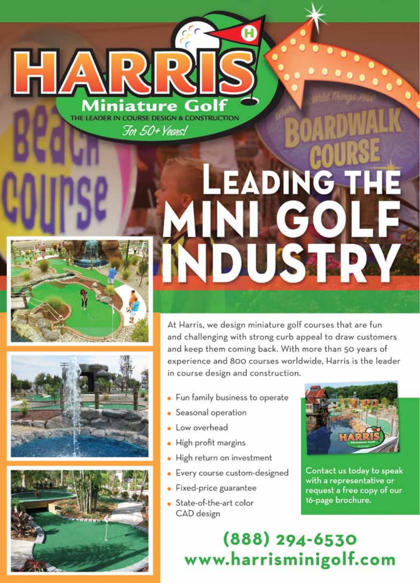

niature THE LEADER IN COURSE DESIGN & CONSTRUCTION For 50+ Years!





# **LEADING THE** INI GO **IDUSTR**

At Harris, we design miniature golf courses that are fun and challenging with strong curb appeal to draw customers and keep them coming back. With more than 50 years of experience and 800 courses worldwide. Harris is the leader in course design and construction.

- Fun family business to operate
- · Seasonal operation
- Low overhead
- · High profit margins
- · High return on investment
- Every course custom-designed
- Fixed-price guarantee
- State-of-the-art color CAD design



Contact us today to speak with a representative or request a free copy of our 16-page brochure.

(888) 294-6530 www.harrisminigolf.com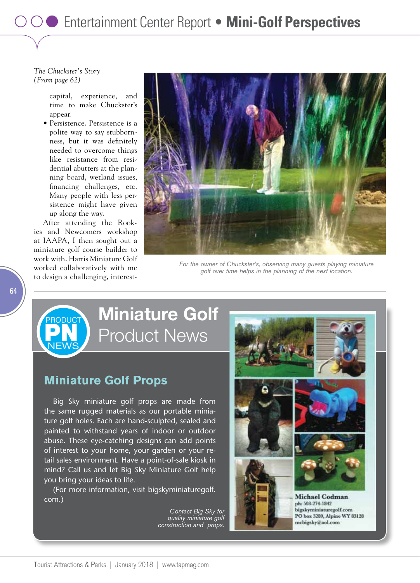### *The Chuckster's Story (From page 62)*

capital, experience, and time to make Chuckster's appear.

• Persistence. Persistence is a polite way to say stubbornness, but it was definitely needed to overcome things like resistance from residential abutters at the planning board, wetland issues, financing challenges, etc. Many people with less persistence might have given up along the way.

After attending the Rookies and Newcomers workshop at IAAPA, I then sought out a miniature golf course builder to work with. Harris Miniature Golf worked collaboratively with me to design a challenging, interest-

> **PN PRODUCT**

**NEWS** 



*For the owner of Chuckster's, observing many guests playing miniature golf over time helps in the planning of the next location.*

## **Miniature Golf** Product News

### **Miniature Golf Props**

Big Sky miniature golf props are made from the same rugged materials as our portable miniature golf holes. Each are hand-sculpted, sealed and painted to withstand years of indoor or outdoor abuse. These eye-catching designs can add points of interest to your home, your garden or your retail sales environment. Have a point-of-sale kiosk in mind? Call us and let Big Sky Miniature Golf help you bring your ideas to life.

(For more information, visit bigskyminiaturegolf. com.)

> *Contact Big Sky for quality miniature golf construction and props.*